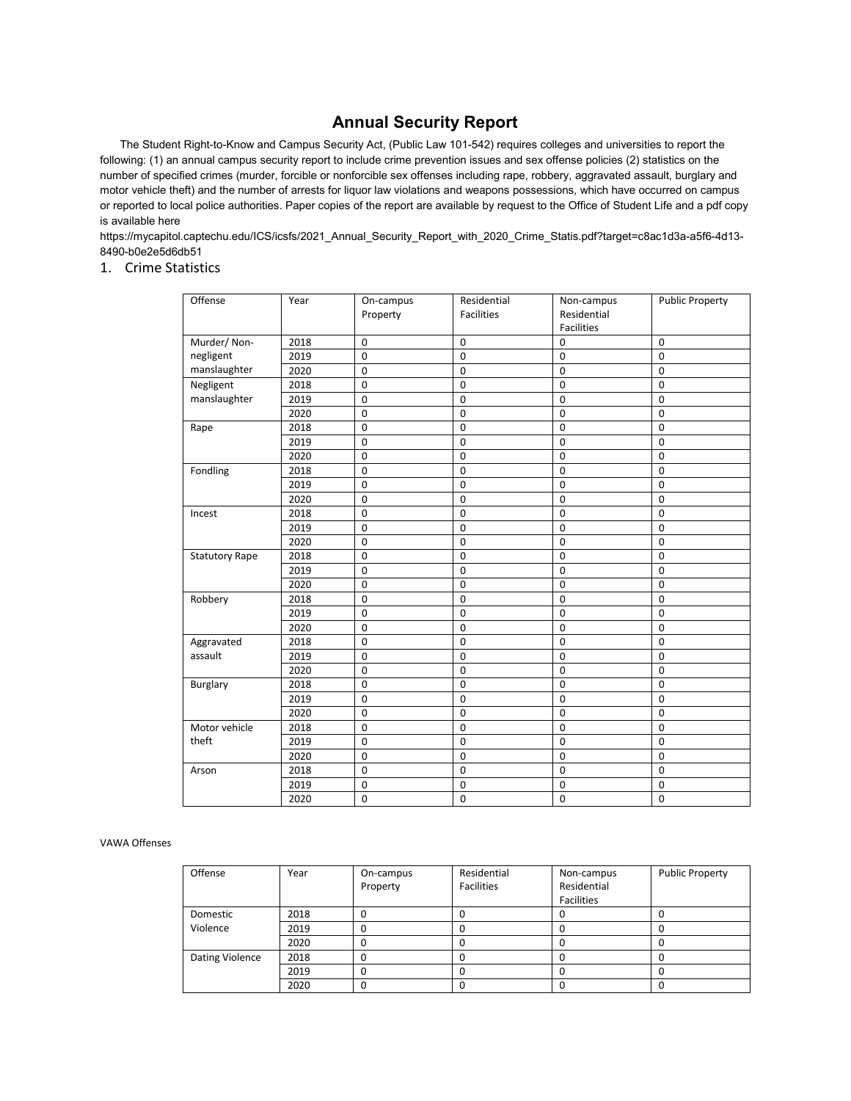# **Annual Security Report**

The Student Right-to-Know and Campus Security Act, (Public Law 101-542) requires colleges and universities to report the following: (1) an annual campus security report to include crime prevention issues and sex offense policies (2) statistics on the number of specified crimes (murder, forcible or nonforcible sex offenses including rape, robbery, aggravated assault, burglary and motor vehicle theft) and the number of arrests for liquor law violations and weapons possessions, which have occurred on campus or reported to local police authorities. Paper copies of the report are available by request to the Office of Student Life and a pdf copy is available here

https://mycapitol.captechu.edu/ICS/icsfs/2021\_Annual\_Security\_Report\_with\_2020\_Crime\_Statis.pdf?target=c8ac1d3a-a5f6-4d13- 8490-b0e2e5d6db51

### 1. Crime Statistics

| Offense               | Year | On-campus<br>Property | Residential<br>Facilities | Non-campus<br>Residential<br><b>Facilities</b> | <b>Public Property</b> |
|-----------------------|------|-----------------------|---------------------------|------------------------------------------------|------------------------|
| Murder/Non-           | 2018 | $\mathbf 0$           | $\mathbf 0$               | $\mathbf 0$                                    | $\mathbf 0$            |
| negligent             | 2019 | $\mathbf 0$           | $\mathbf 0$               | $\mathbf 0$                                    | $\mathbf 0$            |
| manslaughter          | 2020 | $\mathbf 0$           | $\mathbf 0$               | $\mathbf 0$                                    | $\mathbf 0$            |
| Negligent             | 2018 | $\mathbf 0$           | 0                         | $\mathbf 0$                                    | $\mathbf 0$            |
| manslaughter          | 2019 | $\mathbf 0$           | 0                         | $\mathbf 0$                                    | $\mathbf 0$            |
|                       | 2020 | $\mathbf 0$           | $\mathbf 0$               | $\mathbf 0$                                    | $\mathbf 0$            |
| Rape                  | 2018 | $\mathbf 0$           | $\mathbf 0$               | $\mathbf 0$                                    | $\mathbf 0$            |
|                       | 2019 | $\mathbf 0$           | $\mathbf 0$               | $\mathbf 0$                                    | $\mathbf 0$            |
|                       | 2020 | $\pmb{0}$             | $\pmb{0}$                 | $\mathsf 0$                                    | $\mathbf 0$            |
| Fondling              | 2018 | $\pmb{0}$             | $\mathbf 0$               | $\mathsf 0$                                    | $\mathbf 0$            |
|                       | 2019 | $\mathbf 0$           | $\mathbf 0$               | $\mathsf 0$                                    | $\mathbf 0$            |
|                       | 2020 | $\mathbf 0$           | $\mathbf 0$               | $\mathbf 0$                                    | $\mathbf 0$            |
| Incest                | 2018 | $\pmb{0}$             | $\mathbf 0$               | $\mathsf 0$                                    | $\mathbf 0$            |
|                       | 2019 | $\pmb{0}$             | $\mathbf 0$               | $\pmb{0}$                                      | $\mathbf 0$            |
|                       | 2020 | $\mathbf 0$           | $\mathbf 0$               | $\mathsf 0$                                    | $\mathbf 0$            |
| <b>Statutory Rape</b> | 2018 | $\mathbf 0$           | $\mathbf 0$               | $\mathbf 0$                                    | $\Omega$               |
|                       | 2019 | $\mathbf 0$           | $\mathbf 0$               | $\mathbf 0$                                    | $\mathbf 0$            |
|                       | 2020 | $\mathbf 0$           | $\mathbf 0$               | $\mathbf 0$                                    | $\mathbf 0$            |
| Robbery               | 2018 | $\mathbf 0$           | $\mathbf 0$               | $\mathbf 0$                                    | $\mathbf 0$            |
|                       | 2019 | $\pmb{0}$             | $\mathbf 0$               | $\mathbf 0$                                    | $\mathbf 0$            |
|                       | 2020 | $\overline{0}$        | $\mathbf 0$               | $\pmb{0}$                                      | $\mathbf 0$            |
| Aggravated            | 2018 | $\mathbf 0$           | $\mathbf 0$               | $\mathbf 0$                                    | $\mathbf 0$            |
| assault               | 2019 | $\mathbf 0$           | $\mathbf 0$               | $\mathbf 0$                                    | $\mathbf 0$            |
|                       | 2020 | $\pmb{0}$             | $\mathbf 0$               | $\mathsf 0$                                    | $\mathbf 0$            |
| <b>Burglary</b>       | 2018 | $\pmb{0}$             | $\mathbf 0$               | $\mathsf 0$                                    | $\mathbf 0$            |
|                       | 2019 | $\mathsf 0$           | $\mathbf 0$               | $\mathbf 0$                                    | $\mathbf 0$            |
|                       | 2020 | $\mathbf 0$           | $\mathbf 0$               | $\mathbf 0$                                    | $\mathbf 0$            |
| Motor vehicle         | 2018 | $\mathbf 0$           | $\mathbf 0$               | $\mathbf 0$                                    | $\mathbf 0$            |
| theft                 | 2019 | $\pmb{0}$             | $\mathbf 0$               | $\mathsf 0$                                    | $\mathbf 0$            |
|                       | 2020 | $\mathbf 0$           | 0                         | $\mathbf 0$                                    | $\mathbf 0$            |
| Arson                 | 2018 | $\mathbf 0$           | $\mathbf 0$               | $\mathbf 0$                                    | $\mathbf 0$            |
|                       | 2019 | $\mathbf 0$           | 0                         | $\mathbf 0$                                    | $\mathbf 0$            |
|                       | 2020 | $\mathbf 0$           | $\mathbf 0$               | $\mathbf 0$                                    | $\mathbf 0$            |

### VAWA Offenses

| Offense         | Year | On-campus<br>Property | Residential<br><b>Facilities</b> | Non-campus<br>Residential<br><b>Facilities</b> | <b>Public Property</b> |
|-----------------|------|-----------------------|----------------------------------|------------------------------------------------|------------------------|
| Domestic        | 2018 |                       |                                  |                                                |                        |
| Violence        | 2019 |                       |                                  |                                                |                        |
|                 | 2020 |                       |                                  |                                                |                        |
| Dating Violence | 2018 |                       |                                  |                                                |                        |
|                 | 2019 |                       |                                  |                                                |                        |
|                 | 2020 |                       |                                  |                                                |                        |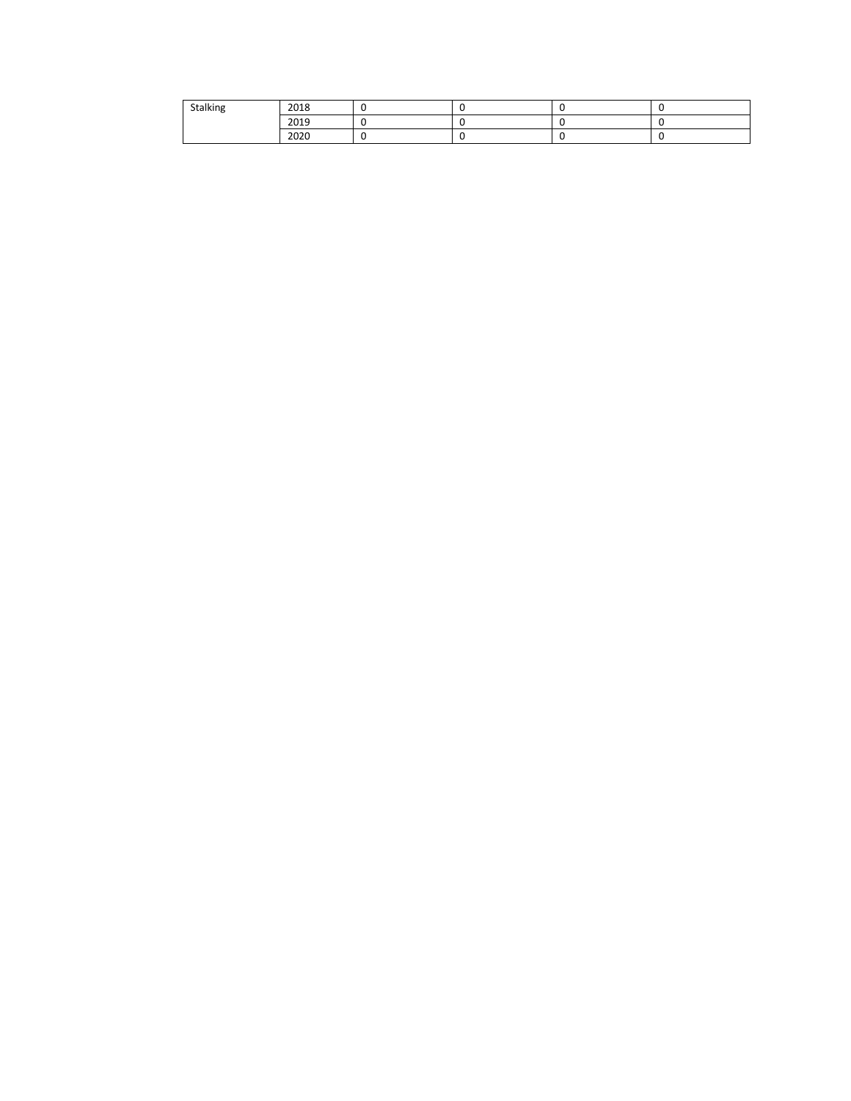| Stalking | 2018 |  |  |
|----------|------|--|--|
|          | 2019 |  |  |
|          | 2020 |  |  |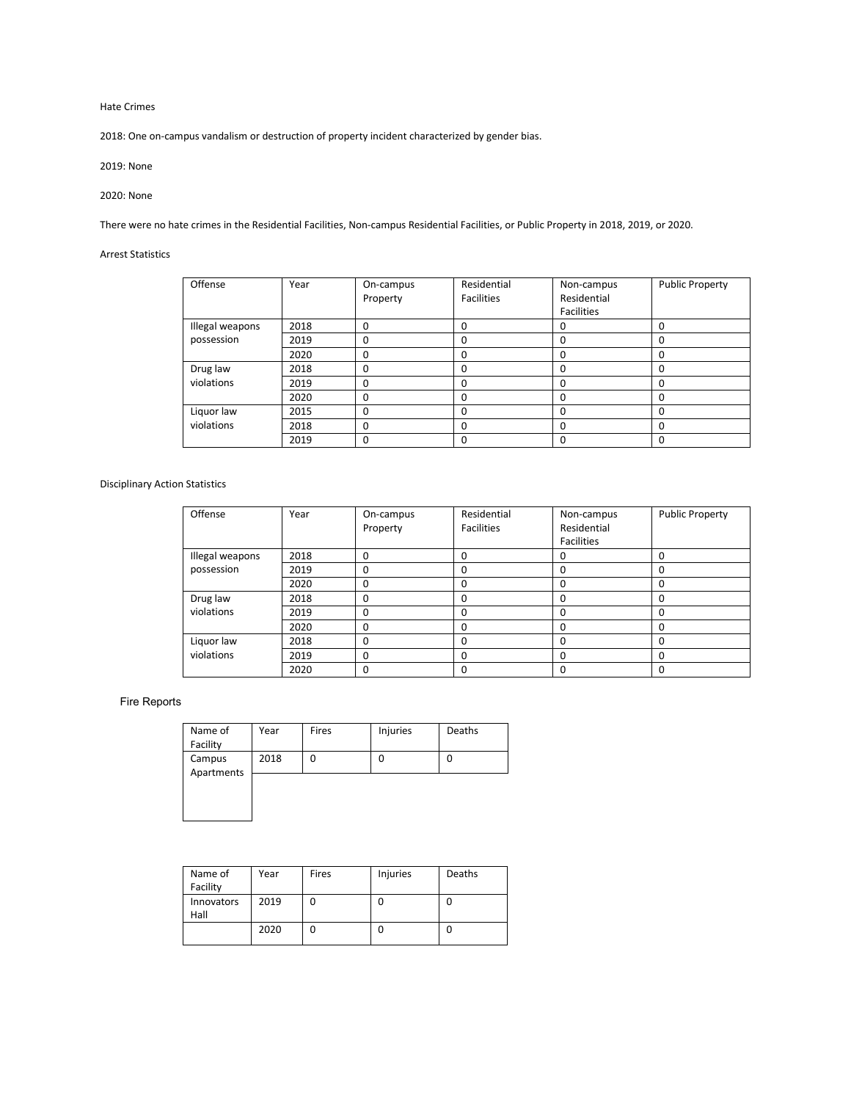Hate Crimes

2018: One on-campus vandalism or destruction of property incident characterized by gender bias.

2019: None

### 2020: None

There were no hate crimes in the Residential Facilities, Non-campus Residential Facilities, or Public Property in 2018, 2019, or 2020.

## Arrest Statistics

| Offense         | Year | On-campus<br>Property | Residential<br><b>Facilities</b> | Non-campus<br>Residential | <b>Public Property</b> |
|-----------------|------|-----------------------|----------------------------------|---------------------------|------------------------|
|                 |      |                       |                                  | <b>Facilities</b>         |                        |
| Illegal weapons | 2018 | 0                     | 0                                | 0                         | 0                      |
| possession      | 2019 | 0                     | 0                                | 0                         | 0                      |
|                 | 2020 | 0                     | O                                | 0                         | 0                      |
| Drug law        | 2018 | $\Omega$              | 0                                | 0                         | 0                      |
| violations      | 2019 | 0                     | O                                | 0                         | 0                      |
|                 | 2020 | 0                     | O                                | 0                         | 0                      |
| Liquor law      | 2015 | 0                     | $\Omega$                         | 0                         | 0                      |
| violations      | 2018 | 0                     | $\Omega$                         | 0                         | 0                      |
|                 | 2019 | 0                     | O                                | 0                         | 0                      |

### Disciplinary Action Statistics

| Offense         | Year | On-campus | Residential       | Non-campus        | <b>Public Property</b> |
|-----------------|------|-----------|-------------------|-------------------|------------------------|
|                 |      | Property  | <b>Facilities</b> | Residential       |                        |
|                 |      |           |                   | <b>Facilities</b> |                        |
| Illegal weapons | 2018 | $\Omega$  |                   |                   | O                      |
| possession      | 2019 | $\Omega$  | ŋ                 | 0                 | O                      |
|                 | 2020 | 0         |                   | 0                 | o                      |
| Drug law        | 2018 | 0         |                   | ი                 | o                      |
| violations      | 2019 | $\Omega$  |                   | ŋ                 | o                      |
|                 | 2020 | 0         |                   | 0                 | 0                      |
| Liquor law      | 2018 | $\Omega$  |                   | O                 | <sup>0</sup>           |
| violations      | 2019 | 0         |                   | O                 | o                      |
|                 | 2020 | 0         |                   | 0                 | o                      |

## Fire Reports

| Name of    | Year | Fires | Injuries | Deaths |
|------------|------|-------|----------|--------|
| Facility   |      |       |          |        |
| Campus     | 2018 | 0     | 0        |        |
| Apartments |      |       |          |        |
|            |      |       |          |        |
|            |      |       |          |        |
|            |      |       |          |        |
|            |      |       |          |        |

| Name of<br>Facility | Year | Fires | Injuries | Deaths |
|---------------------|------|-------|----------|--------|
| Innovators<br>Hall  | 2019 | 0     |          |        |
|                     | 2020 | 0     |          |        |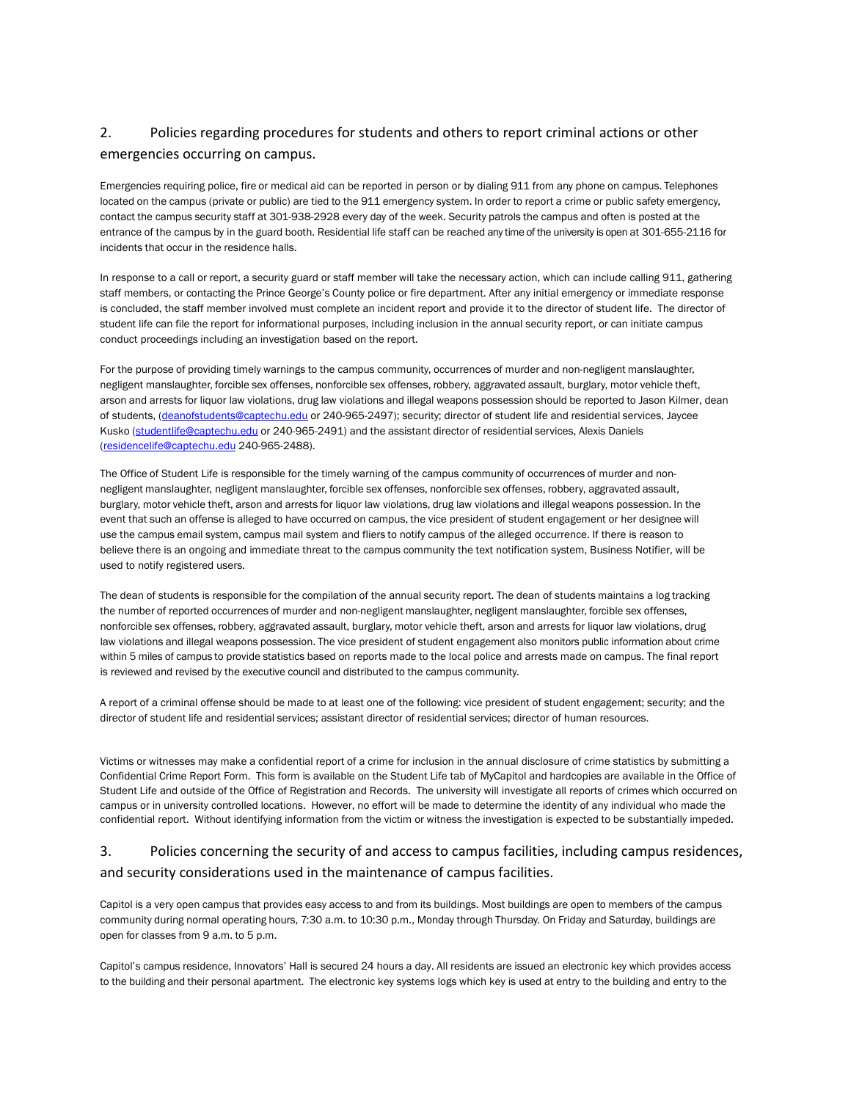# 2. Policies regarding procedures for students and others to report criminal actions or other emergencies occurring on campus.

Emergencies requiring police, fire or medical aid can be reported in person or by dialing 911 from any phone on campus. Telephones located on the campus (private or public) are tied to the 911 emergency system. In order to report a crime or public safety emergency, contact the campus security staff at 301-938-2928 every day of the week. Security patrols the campus and often is posted at the entrance of the campus by in the guard booth. Residential life staff can be reached any time of the university is open at 301-655-2116 for incidents that occur in the residence halls.

In response to a call or report, a security guard or staff member will take the necessary action, which can include calling 911, gathering staff members, or contacting the Prince George's County police or fire department. After any initial emergency or immediate response is concluded, the staff member involved must complete an incident report and provide it to the director of student life. The director of student life can file the report for informational purposes, including inclusion in the annual security report, or can initiate campus conduct proceedings including an investigation based on the report.

For the purpose of providing timely warnings to the campus community, occurrences of murder and non-negligent manslaughter, negligent manslaughter, forcible sex offenses, nonforcible sex offenses, robbery, aggravated assault, burglary, motor vehicle theft, arson and arrests for liquor law violations, drug law violations and illegal weapons possession should be reported to Jason Kilmer, dean of students, [\(deanofstudents@captechu.edu](mailto:deanofstudents@captechu.edu) or 240-965-2497); security; director of student life and residential services, Jaycee Kusko [\(studentlife@captechu.edu](mailto:studentlife@captechu.edu) or 240-965-2491) and the assistant director of residential services, Alexis Daniels [\(residencelife@captechu.edu](mailto:residencelife@captechu.edu) 240-965-2488).

The Office of Student Life is responsible for the timely warning of the campus community of occurrences of murder and nonnegligent manslaughter, negligent manslaughter, forcible sex offenses, nonforcible sex offenses, robbery, aggravated assault, burglary, motor vehicle theft, arson and arrests for liquor law violations, drug law violations and illegal weapons possession. In the event that such an offense is alleged to have occurred on campus, the vice president of student engagement or her designee will use the campus email system, campus mail system and fliers to notify campus of the alleged occurrence. If there is reason to believe there is an ongoing and immediate threat to the campus community the text notification system, Business Notifier, will be used to notify registered users.

The dean of students is responsible for the compilation of the annual security report. The dean of students maintains a log tracking the number of reported occurrences of murder and non-negligent manslaughter, negligent manslaughter, forcible sex offenses, nonforcible sex offenses, robbery, aggravated assault, burglary, motor vehicle theft, arson and arrests for liquor law violations, drug law violations and illegal weapons possession. The vice president of student engagement also monitors public information about crime within 5 miles of campus to provide statistics based on reports made to the local police and arrests made on campus. The final report is reviewed and revised by the executive council and distributed to the campus community.

A report of a criminal offense should be made to at least one of the following: vice president of student engagement; security; and the director of student life and residential services; assistant director of residential services; director of human resources.

Victims or witnesses may make a confidential report of a crime for inclusion in the annual disclosure of crime statistics by submitting a Confidential Crime Report Form. This form is available on the Student Life tab of MyCapitol and hardcopies are available in the Office of Student Life and outside of the Office of Registration and Records. The university will investigate all reports of crimes which occurred on campus or in university controlled locations. However, no effort will be made to determine the identity of any individual who made the confidential report. Without identifying information from the victim or witness the investigation is expected to be substantially impeded.

## 3. Policies concerning the security of and access to campus facilities, including campus residences, and security considerations used in the maintenance of campus facilities.

Capitol is a very open campus that provides easy access to and from its buildings. Most buildings are open to members of the campus community during normal operating hours, 7:30 a.m. to 10:30 p.m., Monday through Thursday. On Friday and Saturday, buildings are open for classes from 9 a.m. to 5 p.m.

Capitol's campus residence, Innovators' Hall is secured 24 hours a day. All residents are issued an electronic key which provides access to the building and their personal apartment. The electronic key systems logs which key is used at entry to the building and entry to the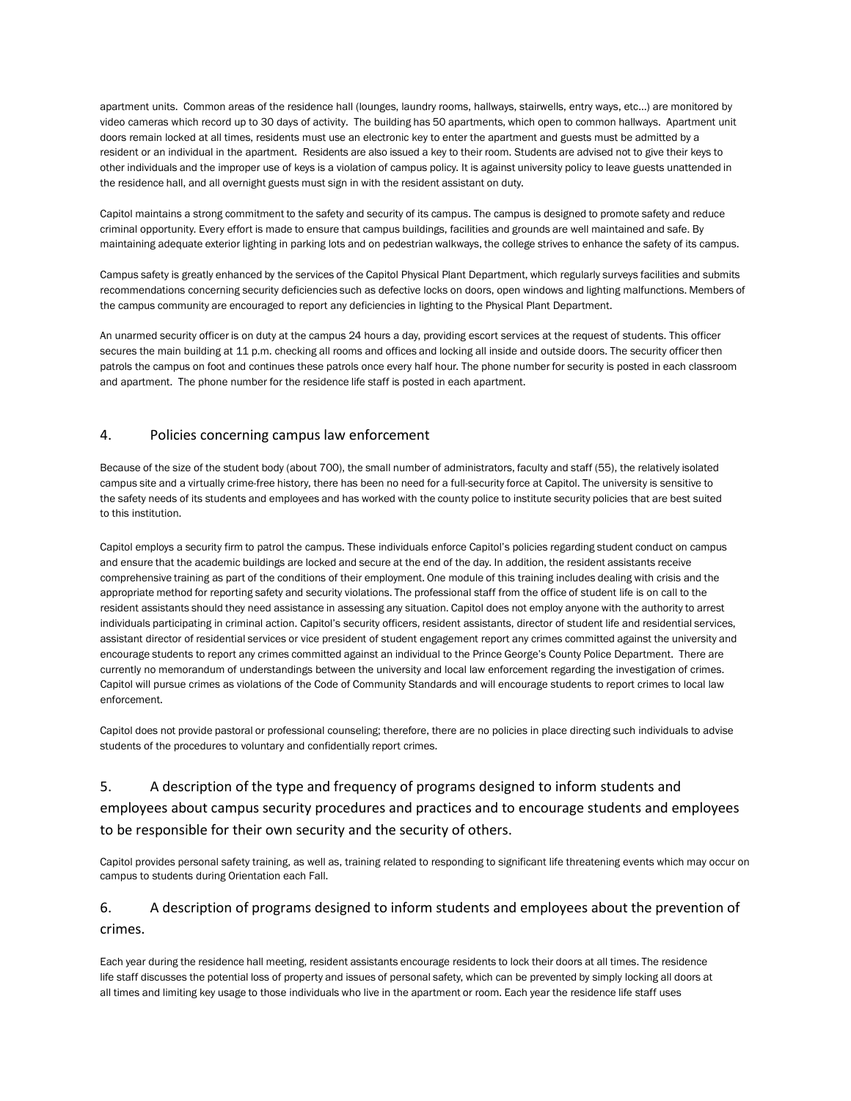apartment units. Common areas of the residence hall (lounges, laundry rooms, hallways, stairwells, entry ways, etc…) are monitored by video cameras which record up to 30 days of activity. The building has 50 apartments, which open to common hallways. Apartment unit doors remain locked at all times, residents must use an electronic key to enter the apartment and guests must be admitted by a resident or an individual in the apartment. Residents are also issued a key to their room. Students are advised not to give their keys to other individuals and the improper use of keys is a violation of campus policy. It is against university policy to leave guests unattended in the residence hall, and all overnight guests must sign in with the resident assistant on duty.

Capitol maintains a strong commitment to the safety and security of its campus. The campus is designed to promote safety and reduce criminal opportunity. Every effort is made to ensure that campus buildings, facilities and grounds are well maintained and safe. By maintaining adequate exterior lighting in parking lots and on pedestrian walkways, the college strives to enhance the safety of its campus.

Campus safety is greatly enhanced by the services of the Capitol Physical Plant Department, which regularly surveys facilities and submits recommendations concerning security deficiencies such as defective locks on doors, open windows and lighting malfunctions. Members of the campus community are encouraged to report any deficiencies in lighting to the Physical Plant Department.

An unarmed security officer is on duty at the campus 24 hours a day, providing escort services at the request of students. This officer secures the main building at 11 p.m. checking all rooms and offices and locking all inside and outside doors. The security officer then patrols the campus on foot and continues these patrols once every half hour. The phone number for security is posted in each classroom and apartment. The phone number for the residence life staff is posted in each apartment.

## 4. Policies concerning campus law enforcement

Because of the size of the student body (about 700), the small number of administrators, faculty and staff (55), the relatively isolated campus site and a virtually crime-free history, there has been no need for a full-security force at Capitol. The university is sensitive to the safety needs of its students and employees and has worked with the county police to institute security policies that are best suited to this institution.

Capitol employs a security firm to patrol the campus. These individuals enforce Capitol's policies regarding student conduct on campus and ensure that the academic buildings are locked and secure at the end of the day. In addition, the resident assistants receive comprehensive training as part of the conditions of their employment. One module of this training includes dealing with crisis and the appropriate method for reporting safety and security violations. The professional staff from the office of student life is on call to the resident assistants should they need assistance in assessing any situation. Capitol does not employ anyone with the authority to arrest individuals participating in criminal action. Capitol's security officers, resident assistants, director of student life and residential services, assistant director of residential services or vice president of student engagement report any crimes committed against the university and encourage students to report any crimes committed against an individual to the Prince George's County Police Department. There are currently no memorandum of understandings between the university and local law enforcement regarding the investigation of crimes. Capitol will pursue crimes as violations of the Code of Community Standards and will encourage students to report crimes to local law enforcement.

Capitol does not provide pastoral or professional counseling; therefore, there are no policies in place directing such individuals to advise students of the procedures to voluntary and confidentially report crimes.

# 5. A description of the type and frequency of programs designed to inform students and employees about campus security procedures and practices and to encourage students and employees to be responsible for their own security and the security of others.

Capitol provides personal safety training, as well as, training related to responding to significant life threatening events which may occur on campus to students during Orientation each Fall.

## 6. A description of programs designed to inform students and employees about the prevention of crimes.

Each year during the residence hall meeting, resident assistants encourage residents to lock their doors at all times. The residence life staff discusses the potential loss of property and issues of personal safety, which can be prevented by simply locking all doors at all times and limiting key usage to those individuals who live in the apartment or room. Each year the residence life staff uses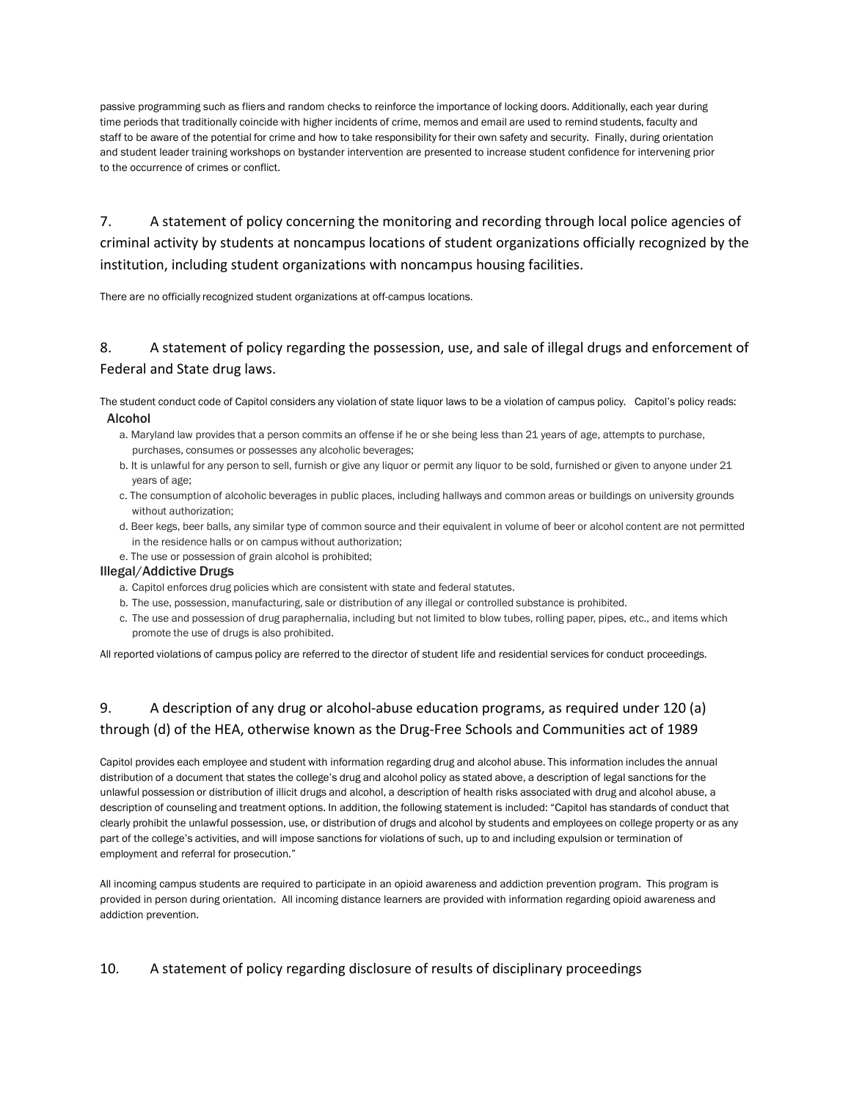passive programming such as fliers and random checks to reinforce the importance of locking doors. Additionally, each year during time periods that traditionally coincide with higher incidents of crime, memos and email are used to remind students, faculty and staff to be aware of the potential for crime and how to take responsibility for their own safety and security. Finally, during orientation and student leader training workshops on bystander intervention are presented to increase student confidence for intervening prior to the occurrence of crimes or conflict.

7. A statement of policy concerning the monitoring and recording through local police agencies of criminal activity by students at noncampus locations of student organizations officially recognized by the institution, including student organizations with noncampus housing facilities.

There are no officially recognized student organizations at off-campus locations.

## 8. A statement of policy regarding the possession, use, and sale of illegal drugs and enforcement of Federal and State drug laws.

The student conduct code of Capitol considers any violation of state liquor laws to be a violation of campus policy. Capitol's policy reads: Alcohol

- a. Maryland law provides that a person commits an offense if he or she being less than 21 years of age, attempts to purchase, purchases, consumes or possesses any alcoholic beverages;
- b. It is unlawful for any person to sell, furnish or give any liquor or permit any liquor to be sold, furnished or given to anyone under 21 years of age;
- c. The consumption of alcoholic beverages in public places, including hallways and common areas or buildings on university grounds without authorization;
- d. Beer kegs, beer balls, any similar type of common source and their equivalent in volume of beer or alcohol content are not permitted in the residence halls or on campus without authorization;
- e. The use or possession of grain alcohol is prohibited;

### Illegal/Addictive Drugs

- a. Capitol enforces drug policies which are consistent with state and federal statutes.
- b. The use, possession, manufacturing, sale or distribution of any illegal or controlled substance is prohibited.
- c. The use and possession of drug paraphernalia, including but not limited to blow tubes, rolling paper, pipes, etc., and items which promote the use of drugs is also prohibited.

All reported violations of campus policy are referred to the director of student life and residential services for conduct proceedings.

# 9. A description of any drug or alcohol-abuse education programs, as required under 120 (a) through (d) of the HEA, otherwise known as the Drug-Free Schools and Communities act of 1989

Capitol provides each employee and student with information regarding drug and alcohol abuse. This information includes the annual distribution of a document that states the college's drug and alcohol policy as stated above, a description of legal sanctions for the unlawful possession or distribution of illicit drugs and alcohol, a description of health risks associated with drug and alcohol abuse, a description of counseling and treatment options. In addition, the following statement is included: "Capitol has standards of conduct that clearly prohibit the unlawful possession, use, or distribution of drugs and alcohol by students and employees on college property or as any part of the college's activities, and will impose sanctions for violations of such, up to and including expulsion or termination of employment and referral for prosecution."

All incoming campus students are required to participate in an opioid awareness and addiction prevention program. This program is provided in person during orientation. All incoming distance learners are provided with information regarding opioid awareness and addiction prevention.

## 10. A statement of policy regarding disclosure of results of disciplinary proceedings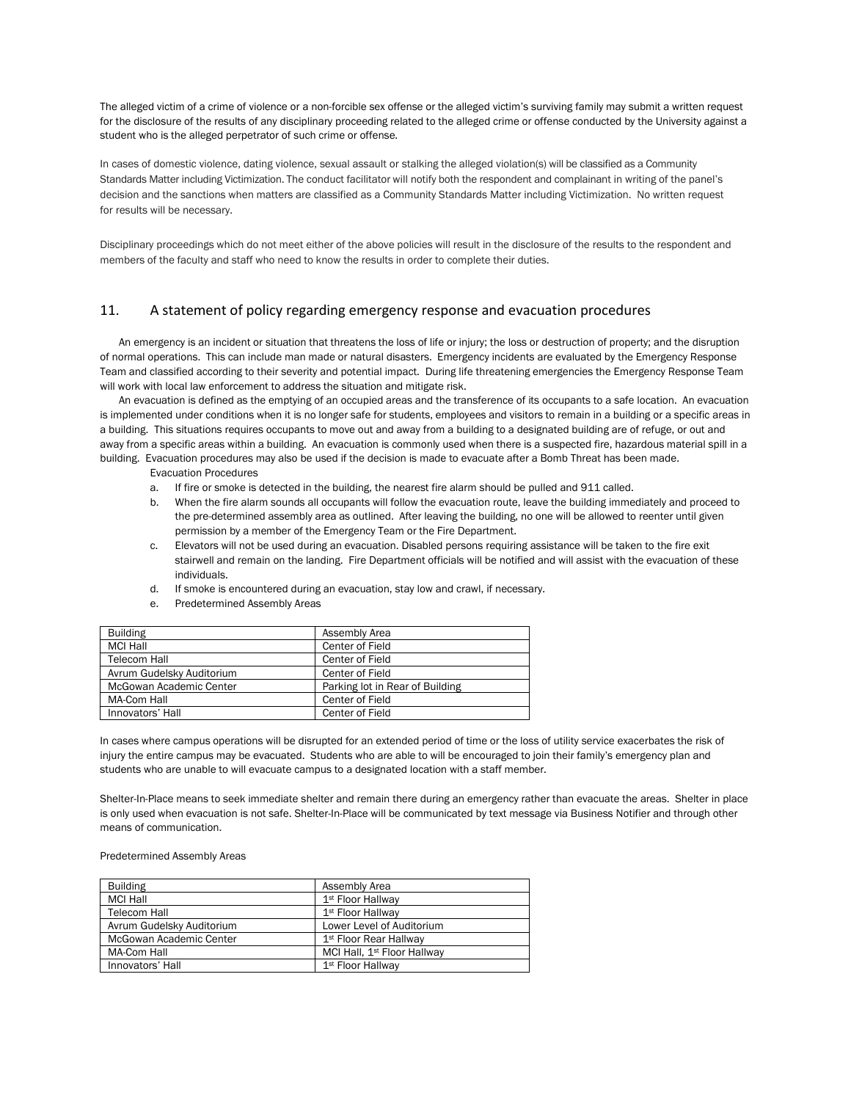The alleged victim of a crime of violence or a non-forcible sex offense or the alleged victim's surviving family may submit a written request for the disclosure of the results of any disciplinary proceeding related to the alleged crime or offense conducted by the University against a student who is the alleged perpetrator of such crime or offense.

In cases of domestic violence, dating violence, sexual assault or stalking the alleged violation(s) will be classified as a Community Standards Matter including Victimization. The conduct facilitator will notify both the respondent and complainant in writing of the panel's decision and the sanctions when matters are classified as a Community Standards Matter including Victimization. No written request for results will be necessary.

Disciplinary proceedings which do not meet either of the above policies will result in the disclosure of the results to the respondent and members of the faculty and staff who need to know the results in order to complete their duties.

### 11. A statement of policy regarding emergency response and evacuation procedures

An emergency is an incident or situation that threatens the loss of life or injury; the loss or destruction of property; and the disruption of normal operations. This can include man made or natural disasters. Emergency incidents are evaluated by the Emergency Response Team and classified according to their severity and potential impact. During life threatening emergencies the Emergency Response Team will work with local law enforcement to address the situation and mitigate risk.

An evacuation is defined as the emptying of an occupied areas and the transference of its occupants to a safe location. An evacuation is implemented under conditions when it is no longer safe for students, employees and visitors to remain in a building or a specific areas in a building. This situations requires occupants to move out and away from a building to a designated building are of refuge, or out and away from a specific areas within a building. An evacuation is commonly used when there is a suspected fire, hazardous material spill in a building. Evacuation procedures may also be used if the decision is made to evacuate after a Bomb Threat has been made.

Evacuation Procedures

- a. If fire or smoke is detected in the building, the nearest fire alarm should be pulled and 911 called.
- b. When the fire alarm sounds all occupants will follow the evacuation route, leave the building immediately and proceed to the pre-determined assembly area as outlined. After leaving the building, no one will be allowed to reenter until given permission by a member of the Emergency Team or the Fire Department.
- c. Elevators will not be used during an evacuation. Disabled persons requiring assistance will be taken to the fire exit stairwell and remain on the landing. Fire Department officials will be notified and will assist with the evacuation of these individuals.
- d. If smoke is encountered during an evacuation, stay low and crawl, if necessary.
- e. Predetermined Assembly Areas

| <b>Building</b>           | Assembly Area                   |
|---------------------------|---------------------------------|
| MCI Hall                  | Center of Field                 |
| Telecom Hall              | Center of Field                 |
| Avrum Gudelsky Auditorium | Center of Field                 |
| McGowan Academic Center   | Parking lot in Rear of Building |
| MA-Com Hall               | Center of Field                 |
| Innovators' Hall          | Center of Field                 |
|                           |                                 |

In cases where campus operations will be disrupted for an extended period of time or the loss of utility service exacerbates the risk of injury the entire campus may be evacuated. Students who are able to will be encouraged to join their family's emergency plan and students who are unable to will evacuate campus to a designated location with a staff member.

Shelter-In-Place means to seek immediate shelter and remain there during an emergency rather than evacuate the areas. Shelter in place is only used when evacuation is not safe. Shelter-In-Place will be communicated by text message via Business Notifier and through other means of communication.

#### Predetermined Assembly Areas

| <b>Building</b>           | Assembly Area                           |
|---------------------------|-----------------------------------------|
| <b>MCI Hall</b>           | 1 <sup>st</sup> Floor Hallway           |
| Telecom Hall              | 1 <sup>st</sup> Floor Hallway           |
| Avrum Gudelsky Auditorium | Lower Level of Auditorium               |
| McGowan Academic Center   | 1 <sup>st</sup> Floor Rear Hallway      |
| MA-Com Hall               | MCI Hall, 1 <sup>st</sup> Floor Hallway |
| Innovators' Hall          | 1 <sup>st</sup> Floor Hallway           |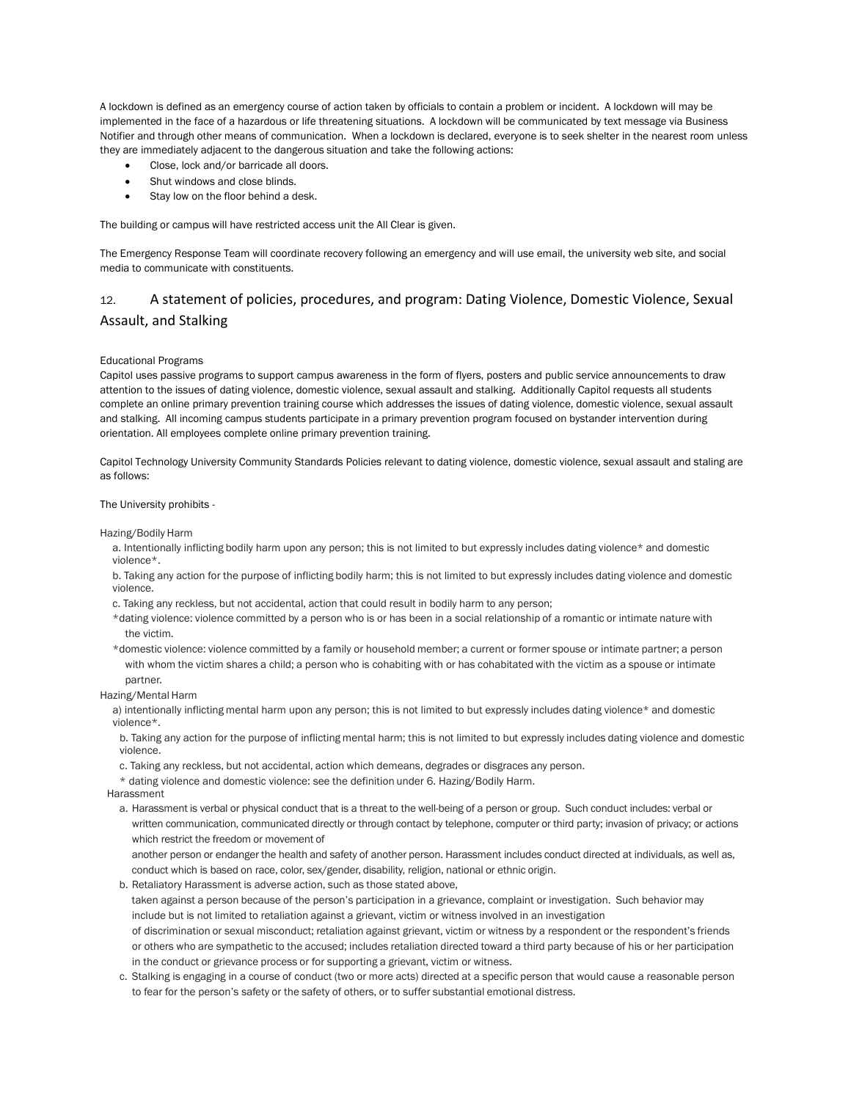A lockdown is defined as an emergency course of action taken by officials to contain a problem or incident. A lockdown will may be implemented in the face of a hazardous or life threatening situations. A lockdown will be communicated by text message via Business Notifier and through other means of communication. When a lockdown is declared, everyone is to seek shelter in the nearest room unless they are immediately adjacent to the dangerous situation and take the following actions:

- Close, lock and/or barricade all doors.
- Shut windows and close blinds.
- Stay low on the floor behind a desk.

The building or campus will have restricted access unit the All Clear is given.

The Emergency Response Team will coordinate recovery following an emergency and will use email, the university web site, and social media to communicate with constituents.

## 12. A statement of policies, procedures, and program: Dating Violence, Domestic Violence, Sexual Assault, and Stalking

#### Educational Programs

Capitol uses passive programs to support campus awareness in the form of flyers, posters and public service announcements to draw attention to the issues of dating violence, domestic violence, sexual assault and stalking. Additionally Capitol requests all students complete an online primary prevention training course which addresses the issues of dating violence, domestic violence, sexual assault and stalking. All incoming campus students participate in a primary prevention program focused on bystander intervention during orientation. All employees complete online primary prevention training.

Capitol Technology University Community Standards Policies relevant to dating violence, domestic violence, sexual assault and staling are as follows:

#### The University prohibits -

Hazing/Bodily Harm

- a. Intentionally inflicting bodily harm upon any person; this is not limited to but expressly includes dating violence\* and domestic violence\*.
- b. Taking any action for the purpose of inflicting bodily harm; this is not limited to but expressly includes dating violence and domestic violence.
- c. Taking any reckless, but not accidental, action that could result in bodily harm to any person;
- \*dating violence: violence committed by a person who is or has been in a social relationship of a romantic or intimate nature with the victim.
- \*domestic violence: violence committed by a family or household member; a current or former spouse or intimate partner; a person with whom the victim shares a child; a person who is cohabiting with or has cohabitated with the victim as a spouse or intimate partner.

Hazing/Mental Harm

a) intentionally inflicting mental harm upon any person; this is not limited to but expressly includes dating violence\* and domestic violence\*.

b. Taking any action for the purpose of inflicting mental harm; this is not limited to but expressly includes dating violence and domestic violence.

- c. Taking any reckless, but not accidental, action which demeans, degrades or disgraces any person.
- \* dating violence and domestic violence: see the definition under 6. Hazing/Bodily Harm.

Harassment

a. Harassment is verbal or physical conduct that is a threat to the well-being of a person or group. Such conduct includes: verbal or written communication, communicated directly or through contact by telephone, computer or third party; invasion of privacy; or actions which restrict the freedom or movement of

another person or endanger the health and safety of another person. Harassment includes conduct directed at individuals, as well as, conduct which is based on race, color, sex/gender, disability, religion, national or ethnic origin.

b. Retaliatory Harassment is adverse action, such as those stated above,

taken against a person because of the person's participation in a grievance, complaint or investigation. Such behavior may include but is not limited to retaliation against a grievant, victim or witness involved in an investigation of discrimination or sexual misconduct; retaliation against grievant, victim or witness by a respondent or the respondent's friends or others who are sympathetic to the accused; includes retaliation directed toward a third party because of his or her participation in the conduct or grievance process or for supporting a grievant, victim or witness.

c. Stalking is engaging in a course of conduct (two or more acts) directed at a specific person that would cause a reasonable person to fear for the person's safety or the safety of others, or to suffer substantial emotional distress.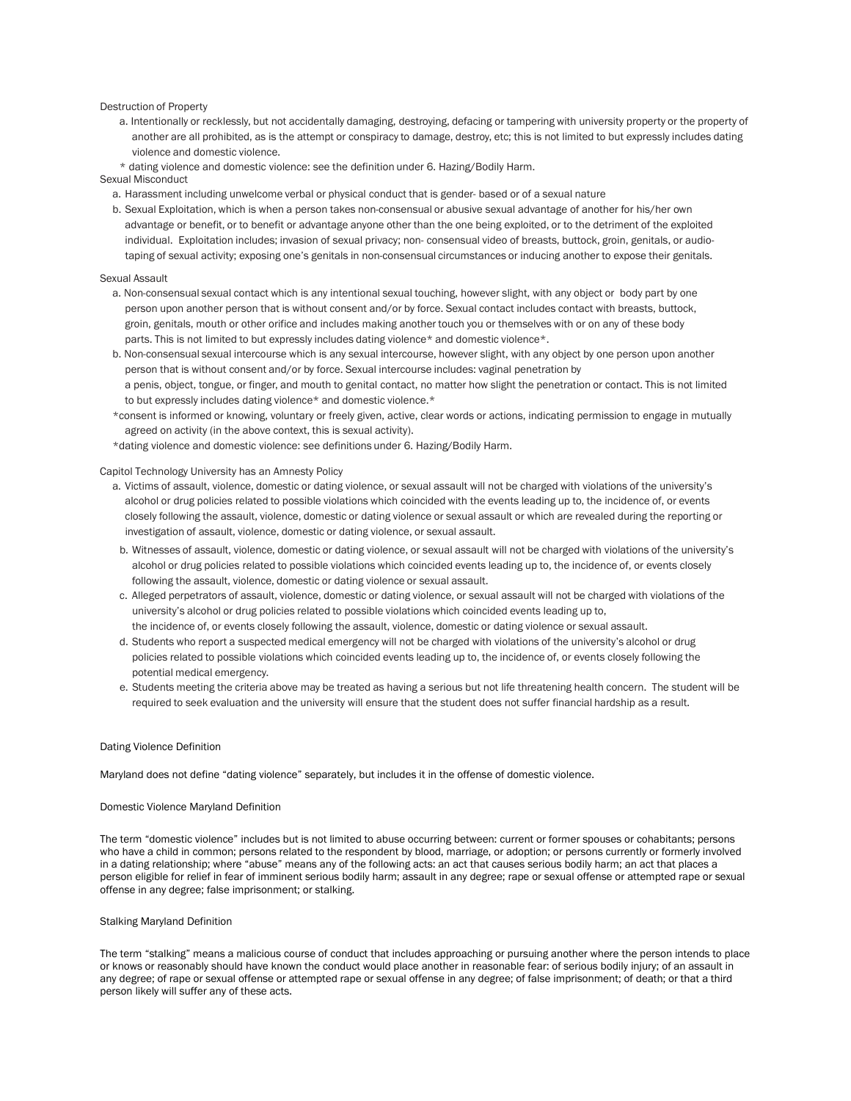#### Destruction of Property

- a. Intentionally or recklessly, but not accidentally damaging, destroying, defacing or tampering with university property or the property of another are all prohibited, as is the attempt or conspiracy to damage, destroy, etc; this is not limited to but expressly includes dating violence and domestic violence.
- \* dating violence and domestic violence: see the definition under 6. Hazing/Bodily Harm.

#### Sexual Misconduct

- a. Harassment including unwelcome verbal or physical conduct that is gender- based or of a sexual nature
- b. Sexual Exploitation, which is when a person takes non-consensual or abusive sexual advantage of another for his/her own advantage or benefit, or to benefit or advantage anyone other than the one being exploited, or to the detriment of the exploited individual. Exploitation includes; invasion of sexual privacy; non- consensual video of breasts, buttock, groin, genitals, or audiotaping of sexual activity; exposing one's genitals in non-consensual circumstances or inducing another to expose their genitals.

#### Sexual Assault

- a. Non-consensual sexual contact which is any intentional sexual touching, however slight, with any object or body part by one person upon another person that is without consent and/or by force. Sexual contact includes contact with breasts, buttock, groin, genitals, mouth or other orifice and includes making another touch you or themselves with or on any of these body parts. This is not limited to but expressly includes dating violence\* and domestic violence\*.
- b. Non-consensual sexual intercourse which is any sexual intercourse, however slight, with any object by one person upon another person that is without consent and/or by force. Sexual intercourse includes: vaginal penetration by a penis, object, tongue, or finger, and mouth to genital contact, no matter how slight the penetration or contact. This is not limited to but expressly includes dating violence\* and domestic violence.\*
- \*consent is informed or knowing, voluntary or freely given, active, clear words or actions, indicating permission to engage in mutually agreed on activity (in the above context, this is sexual activity).
- \*dating violence and domestic violence: see definitions under 6. Hazing/Bodily Harm.

#### Capitol Technology University has an Amnesty Policy

- a. Victims of assault, violence, domestic or dating violence, or sexual assault will not be charged with violations of the university's alcohol or drug policies related to possible violations which coincided with the events leading up to, the incidence of, or events closely following the assault, violence, domestic or dating violence or sexual assault or which are revealed during the reporting or investigation of assault, violence, domestic or dating violence, or sexual assault.
- b. Witnesses of assault, violence, domestic or dating violence, or sexual assault will not be charged with violations of the university's alcohol or drug policies related to possible violations which coincided events leading up to, the incidence of, or events closely following the assault, violence, domestic or dating violence or sexual assault.
- c. Alleged perpetrators of assault, violence, domestic or dating violence, or sexual assault will not be charged with violations of the university's alcohol or drug policies related to possible violations which coincided events leading up to, the incidence of, or events closely following the assault, violence, domestic or dating violence or sexual assault.
- d. Students who report a suspected medical emergency will not be charged with violations of the university's alcohol or drug policies related to possible violations which coincided events leading up to, the incidence of, or events closely following the potential medical emergency.
- e. Students meeting the criteria above may be treated as having a serious but not life threatening health concern. The student will be required to seek evaluation and the university will ensure that the student does not suffer financial hardship as a result.

#### Dating Violence Definition

Maryland does not define "dating violence" separately, but includes it in the offense of domestic violence.

#### Domestic Violence Maryland Definition

The term "domestic violence" includes but is not limited to abuse occurring between: current or former spouses or cohabitants; persons who have a child in common; persons related to the respondent by blood, marriage, or adoption; or persons currently or formerly involved in a dating relationship; where "abuse" means any of the following acts: an act that causes serious bodily harm; an act that places a person eligible for relief in fear of imminent serious bodily harm; assault in any degree; rape or sexual offense or attempted rape or sexual offense in any degree; false imprisonment; or stalking.

#### Stalking Maryland Definition

The term "stalking" means a malicious course of conduct that includes approaching or pursuing another where the person intends to place or knows or reasonably should have known the conduct would place another in reasonable fear: of serious bodily injury; of an assault in any degree; of rape or sexual offense or attempted rape or sexual offense in any degree; of false imprisonment; of death; or that a third person likely will suffer any of these acts.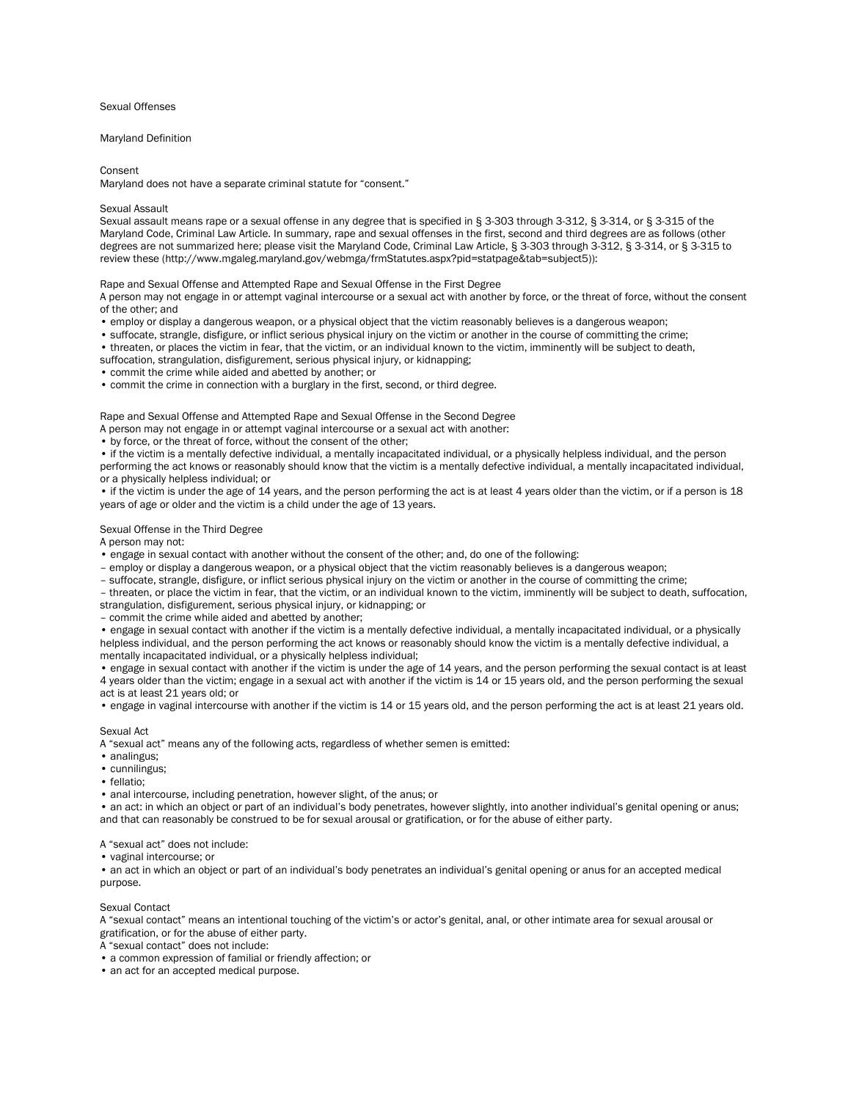#### Sexual Offenses

#### Maryland Definition

Consent

Maryland does not have a separate criminal statute for "consent."

#### Sexual Assault

Sexual assault means rape or a sexual offense in any degree that is specified in § 3-303 through 3-312, § 3-314, or § 3-315 of the Maryland Code, Criminal Law Article. In summary, rape and sexual offenses in the first, second and third degrees are as follows (other degrees are not summarized here; please visit the Maryland Code, Criminal Law Article, § 3-303 through 3-312, § 3-314, or § 3-315 to review these (http://www.mgaleg.maryland.gov/webmga/frmStatutes.aspx?pid=statpage&tab=subject5)):

Rape and Sexual Offense and Attempted Rape and Sexual Offense in the First Degree

A person may not engage in or attempt vaginal intercourse or a sexual act with another by force, or the threat of force, without the consent of the other; and

- employ or display a dangerous weapon, or a physical object that the victim reasonably believes is a dangerous weapon;
- suffocate, strangle, disfigure, or inflict serious physical injury on the victim or another in the course of committing the crime;
- threaten, or places the victim in fear, that the victim, or an individual known to the victim, imminently will be subject to death,
- suffocation, strangulation, disfigurement, serious physical injury, or kidnapping;
- commit the crime while aided and abetted by another; or
- commit the crime in connection with a burglary in the first, second, or third degree.

Rape and Sexual Offense and Attempted Rape and Sexual Offense in the Second Degree

- A person may not engage in or attempt vaginal intercourse or a sexual act with another:
- by force, or the threat of force, without the consent of the other;

• if the victim is a mentally defective individual, a mentally incapacitated individual, or a physically helpless individual, and the person performing the act knows or reasonably should know that the victim is a mentally defective individual, a mentally incapacitated individual, or a physically helpless individual; or

• if the victim is under the age of 14 years, and the person performing the act is at least 4 years older than the victim, or if a person is 18 years of age or older and the victim is a child under the age of 13 years.

#### Sexual Offense in the Third Degree

A person may not:

- engage in sexual contact with another without the consent of the other; and, do one of the following:
- employ or display a dangerous weapon, or a physical object that the victim reasonably believes is a dangerous weapon;
- suffocate, strangle, disfigure, or inflict serious physical injury on the victim or another in the course of committing the crime;
- threaten, or place the victim in fear, that the victim, or an individual known to the victim, imminently will be subject to death, suffocation, strangulation, disfigurement, serious physical injury, or kidnapping; or

– commit the crime while aided and abetted by another;

• engage in sexual contact with another if the victim is a mentally defective individual, a mentally incapacitated individual, or a physically helpless individual, and the person performing the act knows or reasonably should know the victim is a mentally defective individual, a mentally incapacitated individual, or a physically helpless individual;

• engage in sexual contact with another if the victim is under the age of 14 years, and the person performing the sexual contact is at least 4 years older than the victim; engage in a sexual act with another if the victim is 14 or 15 years old, and the person performing the sexual act is at least 21 years old; or

• engage in vaginal intercourse with another if the victim is 14 or 15 years old, and the person performing the act is at least 21 years old.

#### Sexual Act

A "sexual act" means any of the following acts, regardless of whether semen is emitted:

- analingus;
- cunnilingus:
- fellatio;
- anal intercourse, including penetration, however slight, of the anus; or

• an act: in which an object or part of an individual's body penetrates, however slightly, into another individual's genital opening or anus; and that can reasonably be construed to be for sexual arousal or gratification, or for the abuse of either party.

A "sexual act" does not include:

• vaginal intercourse; or

• an act in which an object or part of an individual's body penetrates an individual's genital opening or anus for an accepted medical purpose.

#### Sexual Contact

A "sexual contact" means an intentional touching of the victim's or actor's genital, anal, or other intimate area for sexual arousal or gratification, or for the abuse of either party.

A "sexual contact" does not include:

• a common expression of familial or friendly affection; or

• an act for an accepted medical purpose.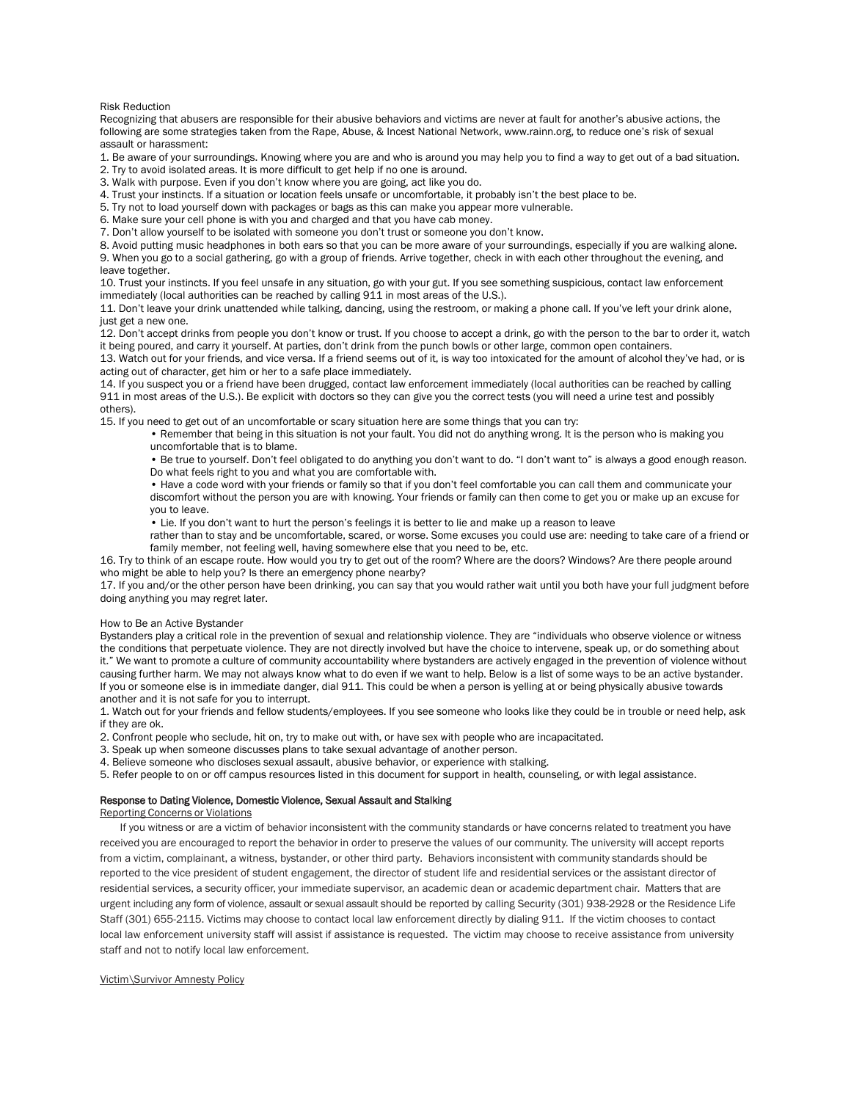Risk Reduction

Recognizing that abusers are responsible for their abusive behaviors and victims are never at fault for another's abusive actions, the following are some strategies taken from the Rape, Abuse, & Incest National Network, www.rainn.org, to reduce one's risk of sexual assault or harassment:

1. Be aware of your surroundings. Knowing where you are and who is around you may help you to find a way to get out of a bad situation.

2. Try to avoid isolated areas. It is more difficult to get help if no one is around.

3. Walk with purpose. Even if you don't know where you are going, act like you do.

4. Trust your instincts. If a situation or location feels unsafe or uncomfortable, it probably isn't the best place to be.

5. Try not to load yourself down with packages or bags as this can make you appear more vulnerable.

6. Make sure your cell phone is with you and charged and that you have cab money.

7. Don't allow yourself to be isolated with someone you don't trust or someone you don't know.

8. Avoid putting music headphones in both ears so that you can be more aware of your surroundings, especially if you are walking alone. 9. When you go to a social gathering, go with a group of friends. Arrive together, check in with each other throughout the evening, and leave together.

10. Trust your instincts. If you feel unsafe in any situation, go with your gut. If you see something suspicious, contact law enforcement immediately (local authorities can be reached by calling 911 in most areas of the U.S.).

11. Don't leave your drink unattended while talking, dancing, using the restroom, or making a phone call. If you've left your drink alone, just get a new one.

12. Don't accept drinks from people you don't know or trust. If you choose to accept a drink, go with the person to the bar to order it, watch it being poured, and carry it yourself. At parties, don't drink from the punch bowls or other large, common open containers.

13. Watch out for your friends, and vice versa. If a friend seems out of it, is way too intoxicated for the amount of alcohol they've had, or is acting out of character, get him or her to a safe place immediately.

14. If you suspect you or a friend have been drugged, contact law enforcement immediately (local authorities can be reached by calling 911 in most areas of the U.S.). Be explicit with doctors so they can give you the correct tests (you will need a urine test and possibly others).

15. If you need to get out of an uncomfortable or scary situation here are some things that you can try:

• Remember that being in this situation is not your fault. You did not do anything wrong. It is the person who is making you uncomfortable that is to blame.

• Be true to yourself. Don't feel obligated to do anything you don't want to do. "I don't want to" is always a good enough reason. Do what feels right to you and what you are comfortable with.

• Have a code word with your friends or family so that if you don't feel comfortable you can call them and communicate your discomfort without the person you are with knowing. Your friends or family can then come to get you or make up an excuse for you to leave.

• Lie. If you don't want to hurt the person's feelings it is better to lie and make up a reason to leave

rather than to stay and be uncomfortable, scared, or worse. Some excuses you could use are: needing to take care of a friend or family member, not feeling well, having somewhere else that you need to be, etc.

16. Try to think of an escape route. How would you try to get out of the room? Where are the doors? Windows? Are there people around who might be able to help you? Is there an emergency phone nearby?

17. If you and/or the other person have been drinking, you can say that you would rather wait until you both have your full judgment before doing anything you may regret later.

#### How to Be an Active Bystander

Bystanders play a critical role in the prevention of sexual and relationship violence. They are "individuals who observe violence or witness the conditions that perpetuate violence. They are not directly involved but have the choice to intervene, speak up, or do something about it." We want to promote a culture of community accountability where bystanders are actively engaged in the prevention of violence without causing further harm. We may not always know what to do even if we want to help. Below is a list of some ways to be an active bystander. If you or someone else is in immediate danger, dial 911. This could be when a person is yelling at or being physically abusive towards another and it is not safe for you to interrupt.

1. Watch out for your friends and fellow students/employees. If you see someone who looks like they could be in trouble or need help, ask if they are ok.

2. Confront people who seclude, hit on, try to make out with, or have sex with people who are incapacitated.

3. Speak up when someone discusses plans to take sexual advantage of another person.

4. Believe someone who discloses sexual assault, abusive behavior, or experience with stalking.

5. Refer people to on or off campus resources listed in this document for support in health, counseling, or with legal assistance.

#### Response to Dating Violence, Domestic Violence, Sexual Assault and Stalking

Reporting Concerns or Violations

If you witness or are a victim of behavior inconsistent with the community standards or have concerns related to treatment you have received you are encouraged to report the behavior in order to preserve the values of our community. The university will accept reports from a victim, complainant, a witness, bystander, or other third party. Behaviors inconsistent with community standards should be reported to the vice president of student engagement, the director of student life and residential services or the assistant director of residential services, a security officer, your immediate supervisor, an academic dean or academic department chair. Matters that are urgent including any form of violence, assault or sexual assault should be reported by calling Security (301) 938-2928 or the Residence Life Staff (301) 655-2115. Victims may choose to contact local law enforcement directly by dialing 911. If the victim chooses to contact local law enforcement university staff will assist if assistance is requested. The victim may choose to receive assistance from university staff and not to notify local law enforcement.

#### Victim\Survivor Amnesty Policy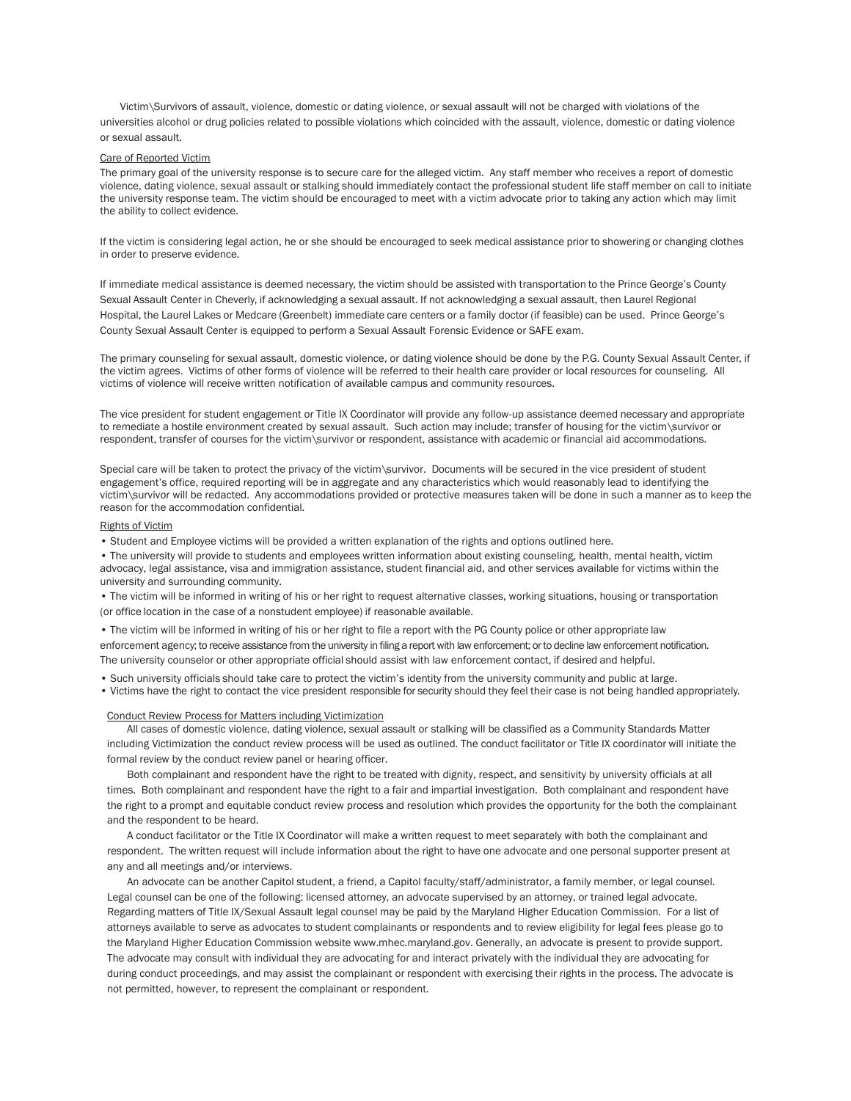Victim\Survivors of assault, violence, domestic or dating violence, or sexual assault will not be charged with violations of the universities alcohol or drug policies related to possible violations which coincided with the assault, violence, domestic or dating violence or sexual assault.

### Care of Reported Victim

The primary goal of the university response is to secure care for the alleged victim. Any staff member who receives a report of domestic violence, dating violence, sexual assault or stalking should immediately contact the professional student life staff member on call to initiate the university response team. The victim should be encouraged to meet with a victim advocate prior to taking any action which may limit the ability to collect evidence.

If the victim is considering legal action, he or she should be encouraged to seek medical assistance prior to showering or changing clothes in order to preserve evidence.

If immediate medical assistance is deemed necessary, the victim should be assisted with transportation to the Prince George's County Sexual Assault Center in Cheverly, if acknowledging a sexual assault. If not acknowledging a sexual assault, then Laurel Regional Hospital, the Laurel Lakes or Medcare (Greenbelt) immediate care centers or a family doctor (if feasible) can be used. Prince George's County Sexual Assault Center is equipped to perform a Sexual Assault Forensic Evidence or SAFE exam.

The primary counseling for sexual assault, domestic violence, or dating violence should be done by the P.G. County Sexual Assault Center, if the victim agrees. Victims of other forms of violence will be referred to their health care provider or local resources for counseling. All victims of violence will receive written notification of available campus and community resources.

The vice president for student engagement or Title IX Coordinator will provide any follow-up assistance deemed necessary and appropriate to remediate a hostile environment created by sexual assault. Such action may include; transfer of housing for the victim\survivor or respondent, transfer of courses for the victim\survivor or respondent, assistance with academic or financial aid accommodations.

Special care will be taken to protect the privacy of the victim\survivor. Documents will be secured in the vice president of student engagement's office, required reporting will be in aggregate and any characteristics which would reasonably lead to identifying the victim\survivor will be redacted. Any accommodations provided or protective measures taken will be done in such a manner as to keep the reason for the accommodation confidential.

#### Rights of Victim

• Student and Employee victims will be provided a written explanation of the rights and options outlined here.

• The university will provide to students and employees written information about existing counseling, health, mental health, victim advocacy, legal assistance, visa and immigration assistance, student financial aid, and other services available for victims within the university and surrounding community.

• The victim will be informed in writing of his or her right to request alternative classes, working situations, housing or transportation (or office location in the case of a nonstudent employee) if reasonable available.

• The victim will be informed in writing of his or her right to file a report with the PG County police or other appropriate law enforcement agency; to receive assistance from the university in filing a report with law enforcement; or to decline law enforcement notification. The university counselor or other appropriate official should assist with law enforcement contact, if desired and helpful.

- Such university officials should take care to protect the victim's identity from the university community and public at large.
- Victims have the right to contact the vice president responsible for security should they feel their case is not being handled appropriately.

#### Conduct Review Process for Matters including Victimization

All cases of domestic violence, dating violence, sexual assault or stalking will be classified as a Community Standards Matter including Victimization the conduct review process will be used as outlined. The conduct facilitator or Title IX coordinator will initiate the formal review by the conduct review panel or hearing officer.

Both complainant and respondent have the right to be treated with dignity, respect, and sensitivity by university officials at all times. Both complainant and respondent have the right to a fair and impartial investigation. Both complainant and respondent have the right to a prompt and equitable conduct review process and resolution which provides the opportunity for the both the complainant and the respondent to be heard.

A conduct facilitator or the Title IX Coordinator will make a written request to meet separately with both the complainant and respondent. The written request will include information about the right to have one advocate and one personal supporter present at any and all meetings and/or interviews.

An advocate can be another Capitol student, a friend, a Capitol faculty/staff/administrator, a family member, or legal counsel. Legal counsel can be one of the following: licensed attorney, an advocate supervised by an attorney, or trained legal advocate. Regarding matters of Title IX/Sexual Assault legal counsel may be paid by the Maryland Higher Education Commission. For a list of attorneys available to serve as advocates to student complainants or respondents and to review eligibility for legal fees please go to the Maryland Higher Education Commission website www.mhec.maryland.gov. Generally, an advocate is present to provide support. The advocate may consult with individual they are advocating for and interact privately with the individual they are advocating for during conduct proceedings, and may assist the complainant or respondent with exercising their rights in the process. The advocate is not permitted, however, to represent the complainant or respondent.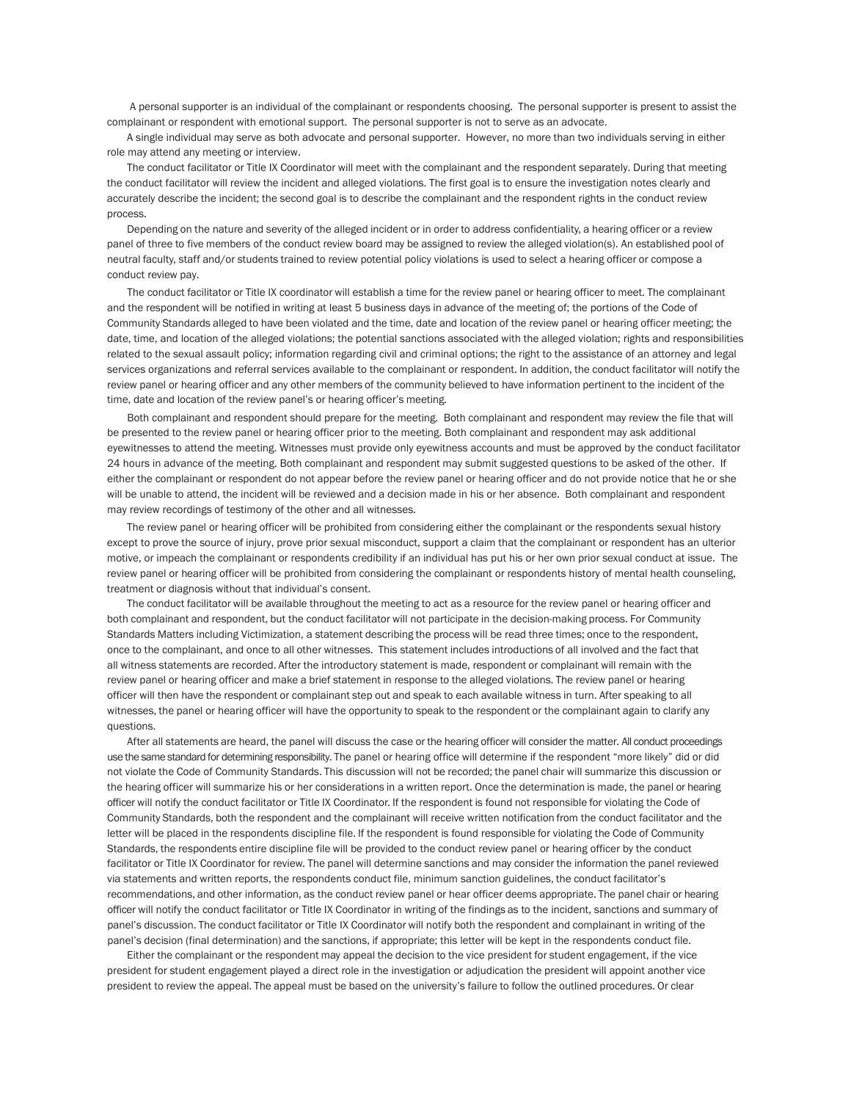A personal supporter is an individual of the complainant or respondents choosing. The personal supporter is present to assist the complainant or respondent with emotional support. The personal supporter is not to serve as an advocate.

A single individual may serve as both advocate and personal supporter. However, no more than two individuals serving in either role may attend any meeting or interview.

The conduct facilitator or Title IX Coordinator will meet with the complainant and the respondent separately. During that meeting the conduct facilitator will review the incident and alleged violations. The first goal is to ensure the investigation notes clearly and accurately describe the incident; the second goal is to describe the complainant and the respondent rights in the conduct review process.

Depending on the nature and severity of the alleged incident or in order to address confidentiality, a hearing officer or a review panel of three to five members of the conduct review board may be assigned to review the alleged violation(s). An established pool of neutral faculty, staff and/or students trained to review potential policy violations is used to select a hearing officer or compose a conduct review pay.

The conduct facilitator or Title IX coordinator will establish a time for the review panel or hearing officer to meet. The complainant and the respondent will be notified in writing at least 5 business days in advance of the meeting of; the portions of the Code of Community Standards alleged to have been violated and the time, date and location of the review panel or hearing officer meeting; the date, time, and location of the alleged violations; the potential sanctions associated with the alleged violation; rights and responsibilities related to the sexual assault policy; information regarding civil and criminal options; the right to the assistance of an attorney and legal services organizations and referral services available to the complainant or respondent. In addition, the conduct facilitator will notify the review panel or hearing officer and any other members of the community believed to have information pertinent to the incident of the time, date and location of the review panel's or hearing officer's meeting.

Both complainant and respondent should prepare for the meeting. Both complainant and respondent may review the file that will be presented to the review panel or hearing officer prior to the meeting. Both complainant and respondent may ask additional eyewitnesses to attend the meeting. Witnesses must provide only eyewitness accounts and must be approved by the conduct facilitator 24 hours in advance of the meeting. Both complainant and respondent may submit suggested questions to be asked of the other. If either the complainant or respondent do not appear before the review panel or hearing officer and do not provide notice that he or she will be unable to attend, the incident will be reviewed and a decision made in his or her absence. Both complainant and respondent may review recordings of testimony of the other and all witnesses.

The review panel or hearing officer will be prohibited from considering either the complainant or the respondents sexual history except to prove the source of injury, prove prior sexual misconduct, support a claim that the complainant or respondent has an ulterior motive, or impeach the complainant or respondents credibility if an individual has put his or her own prior sexual conduct at issue. The review panel or hearing officer will be prohibited from considering the complainant or respondents history of mental health counseling, treatment or diagnosis without that individual's consent.

The conduct facilitator will be available throughout the meeting to act as a resource for the review panel or hearing officer and both complainant and respondent, but the conduct facilitator will not participate in the decision-making process. For Community Standards Matters including Victimization, a statement describing the process will be read three times; once to the respondent, once to the complainant, and once to all other witnesses. This statement includes introductions of all involved and the fact that all witness statements are recorded. After the introductory statement is made, respondent or complainant will remain with the review panel or hearing officer and make a brief statement in response to the alleged violations. The review panel or hearing officer will then have the respondent or complainant step out and speak to each available witness in turn. After speaking to all witnesses, the panel or hearing officer will have the opportunity to speak to the respondent or the complainant again to clarify any questions.

After all statements are heard, the panel will discuss the case or the hearing officer will consider the matter. All conduct proceedings use the same standard for determining responsibility. The panel or hearing office will determine if the respondent "more likely" did or did not violate the Code of Community Standards. This discussion will not be recorded; the panel chair will summarize this discussion or the hearing officer will summarize his or her considerations in a written report. Once the determination is made, the panel or hearing officer will notify the conduct facilitator or Title IX Coordinator. If the respondent is found not responsible for violating the Code of Community Standards, both the respondent and the complainant will receive written notification from the conduct facilitator and the letter will be placed in the respondents discipline file. If the respondent is found responsible for violating the Code of Community Standards, the respondents entire discipline file will be provided to the conduct review panel or hearing officer by the conduct facilitator or Title IX Coordinator for review. The panel will determine sanctions and may consider the information the panel reviewed via statements and written reports, the respondents conduct file, minimum sanction guidelines, the conduct facilitator's recommendations, and other information, as the conduct review panel or hear officer deems appropriate. The panel chair or hearing officer will notify the conduct facilitator or Title IX Coordinator in writing of the findings as to the incident, sanctions and summary of panel's discussion. The conduct facilitator or Title IX Coordinator will notify both the respondent and complainant in writing of the panel's decision (final determination) and the sanctions, if appropriate; this letter will be kept in the respondents conduct file.

Either the complainant or the respondent may appeal the decision to the vice president for student engagement, if the vice president for student engagement played a direct role in the investigation or adjudication the president will appoint another vice president to review the appeal. The appeal must be based on the university's failure to follow the outlined procedures. Or clear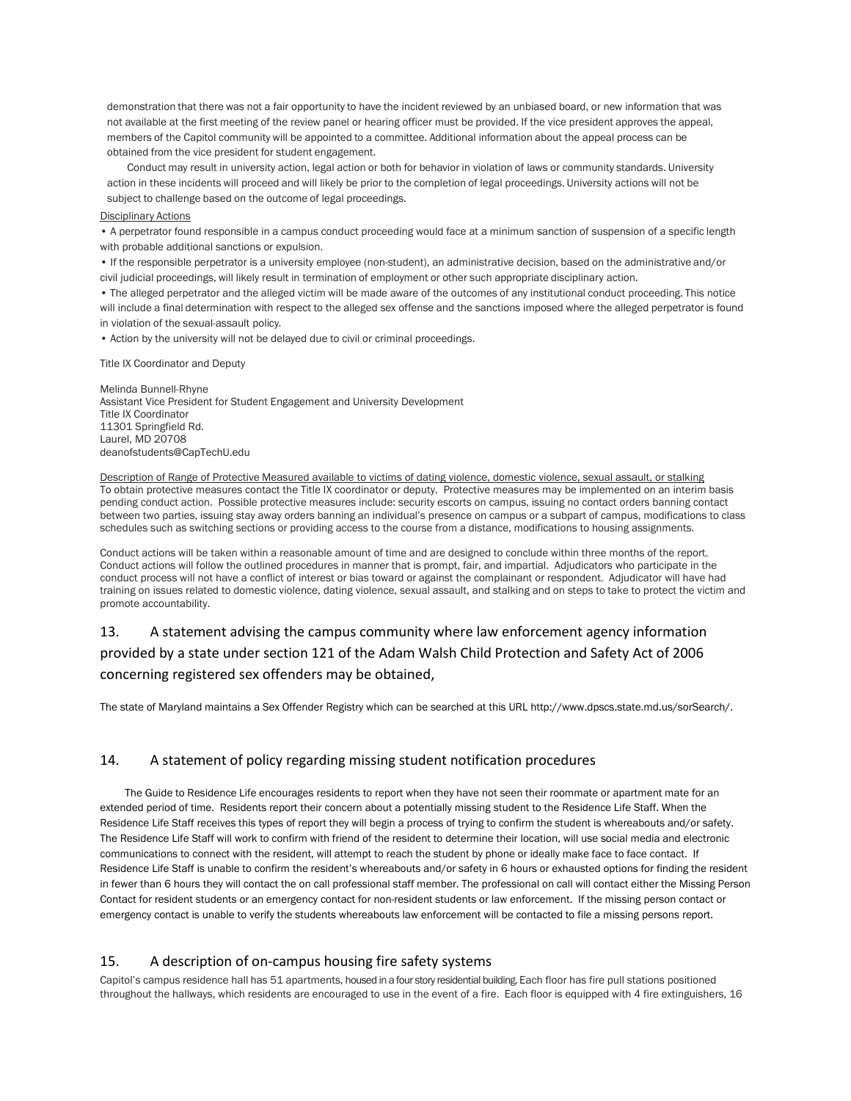demonstration that there was not a fair opportunity to have the incident reviewed by an unbiased board, or new information that was not available at the first meeting of the review panel or hearing officer must be provided. If the vice president approves the appeal, members of the Capitol community will be appointed to a committee. Additional information about the appeal process can be obtained from the vice president for student engagement.

Conduct may result in university action, legal action or both for behavior in violation of laws or community standards. University action in these incidents will proceed and will likely be prior to the completion of legal proceedings. University actions will not be subject to challenge based on the outcome of legal proceedings.

#### Disciplinary Actions

• A perpetrator found responsible in a campus conduct proceeding would face at a minimum sanction of suspension of a specific length with probable additional sanctions or expulsion.

• If the responsible perpetrator is a university employee (non-student), an administrative decision, based on the administrative and/or civil judicial proceedings, will likely result in termination of employment or other such appropriate disciplinary action.

• The alleged perpetrator and the alleged victim will be made aware of the outcomes of any institutional conduct proceeding. This notice will include a final determination with respect to the alleged sex offense and the sanctions imposed where the alleged perpetrator is found in violation of the sexual-assault policy.

• Action by the university will not be delayed due to civil or criminal proceedings.

Title IX Coordinator and Deputy

Melinda Bunnell-Rhyne Assistant Vice President for Student Engagement and University Development Title IX Coordinator 11301 Springfield Rd. Laurel, MD 20708 deanofstudents@CapTechU.edu

Description of Range of Protective Measured available to victims of dating violence, domestic violence, sexual assault, or stalking To obtain protective measures contact the Title IX coordinator or deputy. Protective measures may be implemented on an interim basis pending conduct action. Possible protective measures include: security escorts on campus, issuing no contact orders banning contact between two parties, issuing stay away orders banning an individual's presence on campus or a subpart of campus, modifications to class schedules such as switching sections or providing access to the course from a distance, modifications to housing assignments.

Conduct actions will be taken within a reasonable amount of time and are designed to conclude within three months of the report. Conduct actions will follow the outlined procedures in manner that is prompt, fair, and impartial. Adjudicators who participate in the conduct process will not have a conflict of interest or bias toward or against the complainant or respondent. Adjudicator will have had training on issues related to domestic violence, dating violence, sexual assault, and stalking and on steps to take to protect the victim and promote accountability.

# 13. A statement advising the campus community where law enforcement agency information provided by a state under section 121 of the Adam Walsh Child Protection and Safety Act of 2006 concerning registered sex offenders may be obtained,

The state of Maryland maintains a Sex Offender Registry which can be searched at this URL http://www.dpscs.state.md.us/sorSearch/.

## 14. A statement of policy regarding missing student notification procedures

The Guide to Residence Life encourages residents to report when they have not seen their roommate or apartment mate for an extended period of time. Residents report their concern about a potentially missing student to the Residence Life Staff. When the Residence Life Staff receives this types of report they will begin a process of trying to confirm the student is whereabouts and/or safety. The Residence Life Staff will work to confirm with friend of the resident to determine their location, will use social media and electronic communications to connect with the resident, will attempt to reach the student by phone or ideally make face to face contact. If Residence Life Staff is unable to confirm the resident's whereabouts and/or safety in 6 hours or exhausted options for finding the resident in fewer than 6 hours they will contact the on call professional staff member. The professional on call will contact either the Missing Person Contact for resident students or an emergency contact for non-resident students or law enforcement. If the missing person contact or emergency contact is unable to verify the students whereabouts law enforcement will be contacted to file a missing persons report.

### 15. A description of on-campus housing fire safety systems

Capitol's campus residence hall has 51 apartments, housed in a four story residential building. Each floor has fire pull stations positioned throughout the hallways, which residents are encouraged to use in the event of a fire. Each floor is equipped with 4 fire extinguishers, 16